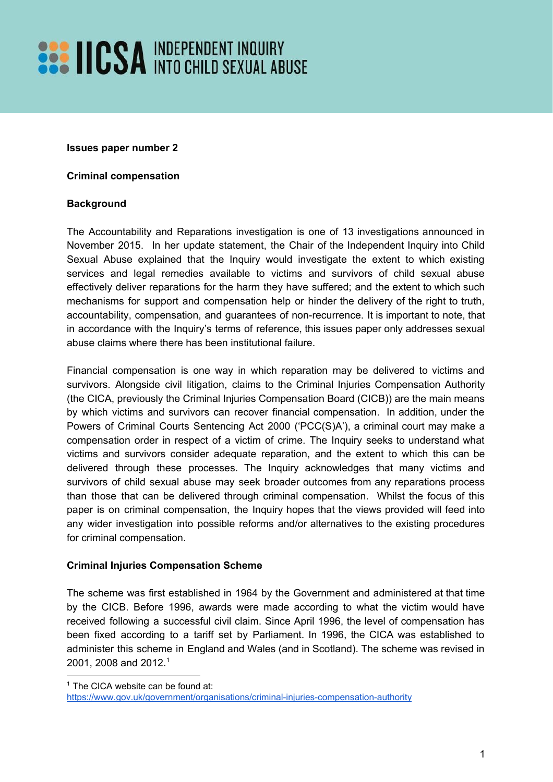# **SEE HICSA INDEPENDENT INQUIRY**

#### **Issues paper number 2**

#### **Criminal compensation**

#### **Background**

The Accountability and Reparations investigation is one of 13 investigations announced in November 2015. In her update statement, the Chair of the Independent Inquiry into Child Sexual Abuse explained that the Inquiry would investigate the extent to which existing services and legal remedies available to victims and survivors of child sexual abuse effectively deliver reparations for the harm they have suffered; and the extent to which such mechanisms for support and compensation help or hinder the delivery of the right to truth, accountability, compensation, and guarantees of non-recurrence. It is important to note, that in accordance with the Inquiry's terms of reference, this issues paper only addresses sexual abuse claims where there has been institutional failure.

Financial compensation is one way in which reparation may be delivered to victims and survivors. Alongside civil litigation, claims to the Criminal Injuries Compensation Authority (the CICA, previously the Criminal Injuries Compensation Board (CICB)) are the main means by which victims and survivors can recover financial compensation. In addition, under the Powers of Criminal Courts Sentencing Act 2000 ('PCC(S)A'), a criminal court may make a compensation order in respect of a victim of crime. The Inquiry seeks to understand what victims and survivors consider adequate reparation, and the extent to which this can be delivered through these processes. The Inquiry acknowledges that many victims and survivors of child sexual abuse may seek broader outcomes from any reparations process than those that can be delivered through criminal compensation. Whilst the focus of this paper is on criminal compensation, the Inquiry hopes that the views provided will feed into any wider investigation into possible reforms and/or alternatives to the existing procedures for criminal compensation.

### **Criminal Injuries Compensation Scheme**

The scheme was first established in 1964 by the Government and administered at that time by the CICB. Before 1996, awards were made according to what the victim would have received following a successful civil claim. Since April 1996, the level of compensation has been fixed according to a tariff set by Parliament. In 1996, the CICA was established to administer this scheme in England and Wales (and in Scotland). The scheme was revised in 2001, 2008 and 2012.<sup>1</sup>

<sup>&</sup>lt;sup>1</sup> The CICA website can be found at:

https://www.gov.uk/government/organisations/criminal-injuries-compensation-authority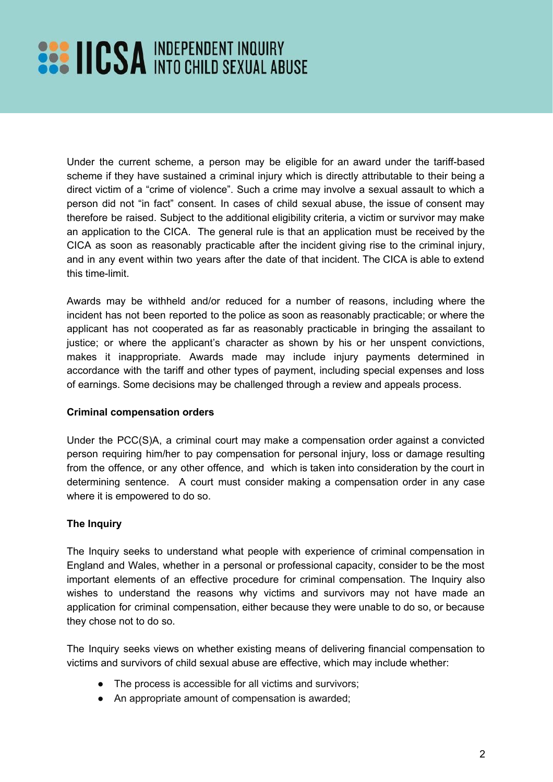# **EXAMPLE PERSONAL INDEPENDENT INQUIRY**

Under the current scheme, a person may be eligible for an award under the tariff-based scheme if they have sustained a criminal injury which is directly attributable to their being a direct victim of a "crime of violence". Such a crime may involve a sexual assault to which a person did not "in fact" consent. In cases of child sexual abuse, the issue of consent may therefore be raised. Subject to the additional eligibility criteria, a victim or survivor may make an application to the CICA. The general rule is that an application must be received by the CICA as soon as reasonably practicable after the incident giving rise to the criminal injury, and in any event within two years after the date of that incident. The CICA is able to extend this time-limit.

Awards may be withheld and/or reduced for a number of reasons, including where the incident has not been reported to the police as soon as reasonably practicable; or where the applicant has not cooperated as far as reasonably practicable in bringing the assailant to justice; or where the applicant's character as shown by his or her unspent convictions, makes it inappropriate. Awards made may include injury payments determined in accordance with the tariff and other types of payment, including special expenses and loss of earnings. Some decisions may be challenged through a review and appeals process.

### **Criminal compensation orders**

Under the PCC(S)A, a criminal court may make a compensation order against a convicted person requiring him/her to pay compensation for personal injury, loss or damage resulting from the offence, or any other offence, and which is taken into consideration by the court in determining sentence. A court must consider making a compensation order in any case where it is empowered to do so.

### **The Inquiry**

The Inquiry seeks to understand what people with experience of criminal compensation in England and Wales, whether in a personal or professional capacity, consider to be the most important elements of an effective procedure for criminal compensation. The Inquiry also wishes to understand the reasons why victims and survivors may not have made an application for criminal compensation, either because they were unable to do so, or because they chose not to do so.

The Inquiry seeks views on whether existing means of delivering financial compensation to victims and survivors of child sexual abuse are effective, which may include whether:

- The process is accessible for all victims and survivors;
- An appropriate amount of compensation is awarded;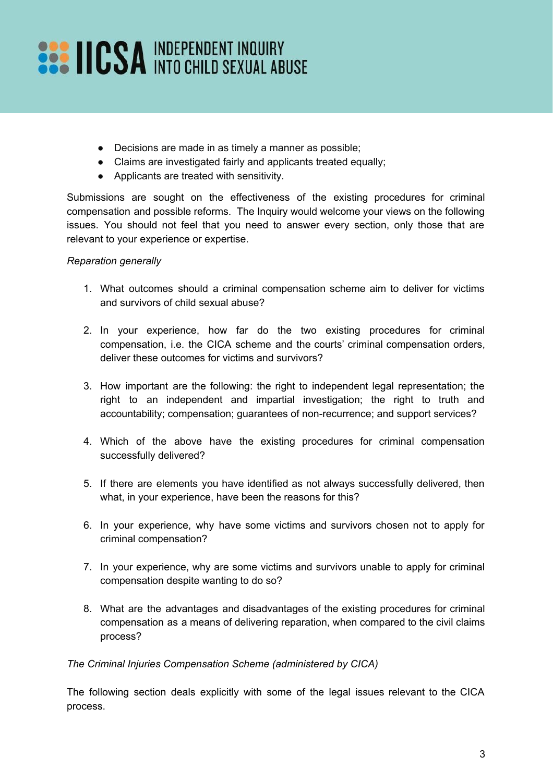# **EXAMPLE PERSONAL INDEPENDENT INQUIRY**

- Decisions are made in as timely a manner as possible;
- Claims are investigated fairly and applicants treated equally;
- Applicants are treated with sensitivity.

Submissions are sought on the effectiveness of the existing procedures for criminal compensation and possible reforms. The Inquiry would welcome your views on the following issues. You should not feel that you need to answer every section, only those that are relevant to your experience or expertise.

### *Reparation generally*

- 1. What outcomes should a criminal compensation scheme aim to deliver for victims and survivors of child sexual abuse?
- 2. In your experience, how far do the two existing procedures for criminal compensation, i.e. the CICA scheme and the courts' criminal compensation orders, deliver these outcomes for victims and survivors?
- 3. How important are the following: the right to independent legal representation; the right to an independent and impartial investigation; the right to truth and accountability; compensation; guarantees of non-recurrence; and support services?
- 4. Which of the above have the existing procedures for criminal compensation successfully delivered?
- 5. If there are elements you have identified as not always successfully delivered, then what, in your experience, have been the reasons for this?
- 6. In your experience, why have some victims and survivors chosen not to apply for criminal compensation?
- 7. In your experience, why are some victims and survivors unable to apply for criminal compensation despite wanting to do so?
- 8. What are the advantages and disadvantages of the existing procedures for criminal compensation as a means of delivering reparation, when compared to the civil claims process?

*The Criminal Injuries Compensation Scheme (administered by CICA)*

The following section deals explicitly with some of the legal issues relevant to the CICA process.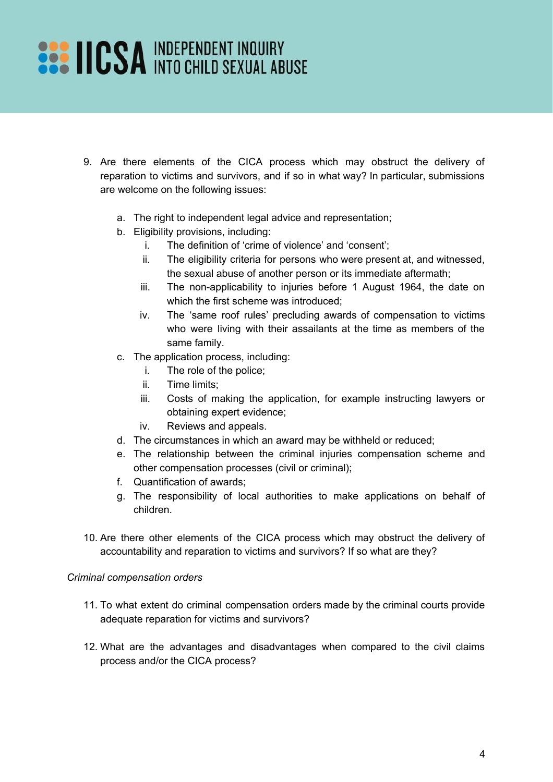# **EXAMPLE PERIODENT INQUIRY SEXUAL ABUSE**

- 9. Are there elements of the CICA process which may obstruct the delivery of reparation to victims and survivors, and if so in what way? In particular, submissions are welcome on the following issues:
	- a. The right to independent legal advice and representation;
	- b. Eligibility provisions, including:
		- i. The definition of 'crime of violence' and 'consent';
		- ii. The eligibility criteria for persons who were present at, and witnessed, the sexual abuse of another person or its immediate aftermath;
		- iii. The non-applicability to injuries before 1 August 1964, the date on which the first scheme was introduced;
		- iv. The 'same roof rules' precluding awards of compensation to victims who were living with their assailants at the time as members of the same family.
	- c. The application process, including:
		- i. The role of the police;
		- ii. Time limits;
		- iii. Costs of making the application, for example instructing lawyers or obtaining expert evidence;
		- iv. Reviews and appeals.
	- d. The circumstances in which an award may be withheld or reduced;
	- e. The relationship between the criminal injuries compensation scheme and other compensation processes (civil or criminal);
	- f. Quantification of awards;
	- g. The responsibility of local authorities to make applications on behalf of children.
- 10. Are there other elements of the CICA process which may obstruct the delivery of accountability and reparation to victims and survivors? If so what are they?

#### *Criminal compensation orders*

- 11. To what extent do criminal compensation orders made by the criminal courts provide adequate reparation for victims and survivors?
- 12. What are the advantages and disadvantages when compared to the civil claims process and/or the CICA process?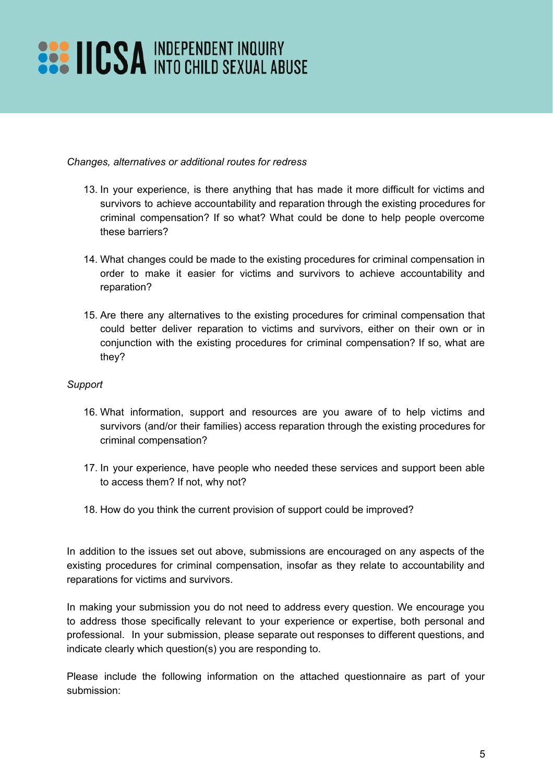# **EXAMPLE PERSONAL INDEPENDENT INQUIRY**

### *Changes, alternatives or additional routes for redress*

- 13. In your experience, is there anything that has made it more difficult for victims and survivors to achieve accountability and reparation through the existing procedures for criminal compensation? If so what? What could be done to help people overcome these barriers?
- 14. What changes could be made to the existing procedures for criminal compensation in order to make it easier for victims and survivors to achieve accountability and reparation?
- 15. Are there any alternatives to the existing procedures for criminal compensation that could better deliver reparation to victims and survivors, either on their own or in conjunction with the existing procedures for criminal compensation? If so, what are they?

#### *Support*

- 16. What information, support and resources are you aware of to help victims and survivors (and/or their families) access reparation through the existing procedures for criminal compensation?
- 17. In your experience, have people who needed these services and support been able to access them? If not, why not?
- 18. How do you think the current provision of support could be improved?

In addition to the issues set out above, submissions are encouraged on any aspects of the existing procedures for criminal compensation, insofar as they relate to accountability and reparations for victims and survivors.

In making your submission you do not need to address every question. We encourage you to address those specifically relevant to your experience or expertise, both personal and professional. In your submission, please separate out responses to different questions, and indicate clearly which question(s) you are responding to.

Please include the following information on the attached questionnaire as part of your submission: